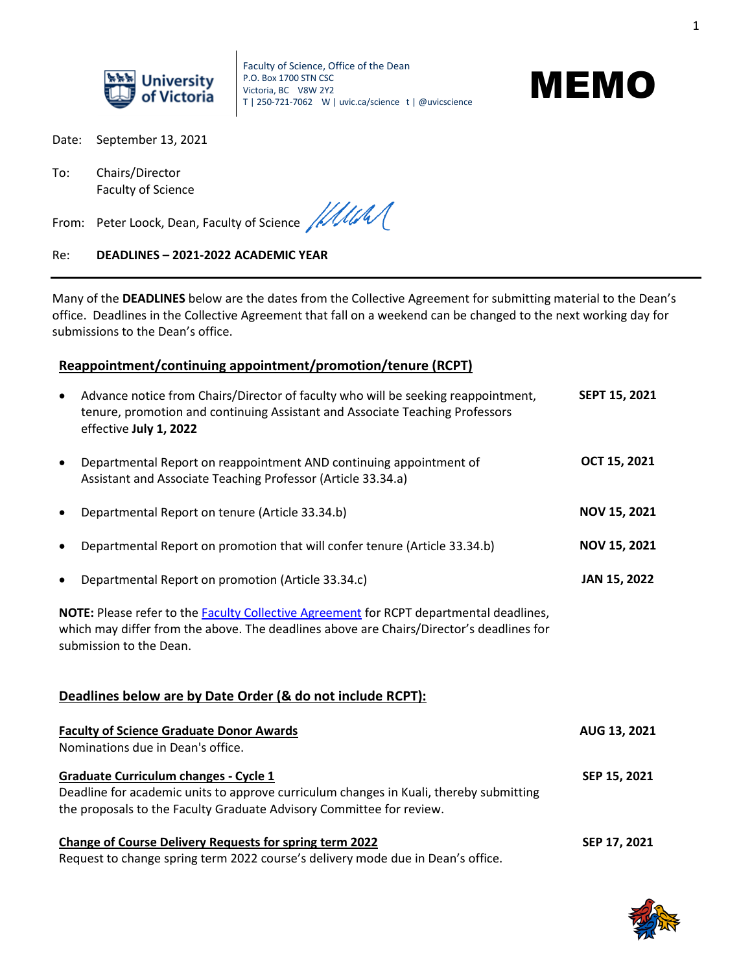

Faculty of Science, Office of the Dean P.O. Box 1700 STN CSC Victoria, BC V8W 2Y2 T | 250-721-7062 W | uvic.ca/science t | @uvicscience



Date: September 13, 2021

To: Chairs/Director Faculty of Science

From: Peter Loock, Dean, Faculty of Science ///////

#### Re: **DEADLINES – 2021-2022 ACADEMIC YEAR**

Many of the **DEADLINES** below are the dates from the Collective Agreement for submitting material to the Dean's office. Deadlines in the Collective Agreement that fall on a weekend can be changed to the next working day for submissions to the Dean's office.

### **Reappointment/continuing appointment/promotion/tenure (RCPT)**

| $\bullet$                                                                                                                                                                                                      | Advance notice from Chairs/Director of faculty who will be seeking reappointment,<br>tenure, promotion and continuing Assistant and Associate Teaching Professors<br>effective July 1, 2022 | SEPT 15, 2021       |  |  |  |
|----------------------------------------------------------------------------------------------------------------------------------------------------------------------------------------------------------------|---------------------------------------------------------------------------------------------------------------------------------------------------------------------------------------------|---------------------|--|--|--|
| $\bullet$                                                                                                                                                                                                      | Departmental Report on reappointment AND continuing appointment of<br>Assistant and Associate Teaching Professor (Article 33.34.a)                                                          | OCT 15, 2021        |  |  |  |
|                                                                                                                                                                                                                | Departmental Report on tenure (Article 33.34.b)                                                                                                                                             | <b>NOV 15, 2021</b> |  |  |  |
|                                                                                                                                                                                                                | Departmental Report on promotion that will confer tenure (Article 33.34.b)                                                                                                                  | <b>NOV 15, 2021</b> |  |  |  |
|                                                                                                                                                                                                                | Departmental Report on promotion (Article 33.34.c)                                                                                                                                          | JAN 15, 2022        |  |  |  |
| NOTE: Please refer to the Faculty Collective Agreement for RCPT departmental deadlines,<br>which may differ from the above. The deadlines above are Chairs/Director's deadlines for<br>submission to the Dean. |                                                                                                                                                                                             |                     |  |  |  |
|                                                                                                                                                                                                                | Deadlines below are by Date Order (& do not include RCPT):                                                                                                                                  |                     |  |  |  |
|                                                                                                                                                                                                                | <b>Faculty of Science Graduate Donor Awards</b><br>Nominations due in Dean's office.                                                                                                        | AUG 13, 2021        |  |  |  |
| <b>Graduate Curriculum changes - Cycle 1</b><br>Deadline for academic units to approve curriculum changes in Kuali, thereby submitting<br>the proposals to the Faculty Graduate Advisory Committee for review. |                                                                                                                                                                                             | SEP 15, 2021        |  |  |  |
|                                                                                                                                                                                                                | <b>Change of Course Delivery Requests for spring term 2022</b><br>Request to change spring term 2022 course's delivery mode due in Dean's office.                                           | SEP 17, 2021        |  |  |  |

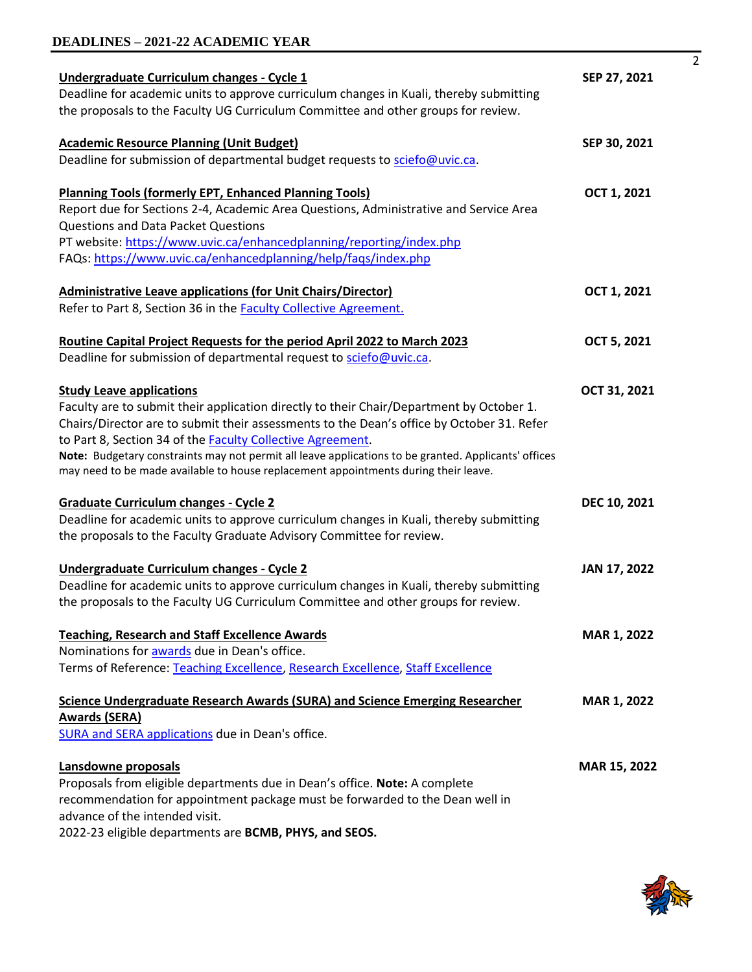### **DEADLINES – 2021-22 ACADEMIC YEAR**

| Undergraduate Curriculum changes - Cycle 1                                                           | SEP 27, 2021       |
|------------------------------------------------------------------------------------------------------|--------------------|
| Deadline for academic units to approve curriculum changes in Kuali, thereby submitting               |                    |
| the proposals to the Faculty UG Curriculum Committee and other groups for review.                    |                    |
| <b>Academic Resource Planning (Unit Budget)</b>                                                      | SEP 30, 2021       |
| Deadline for submission of departmental budget requests to sciefo@uvic.ca.                           |                    |
|                                                                                                      |                    |
| <b>Planning Tools (formerly EPT, Enhanced Planning Tools)</b>                                        | OCT 1, 2021        |
| Report due for Sections 2-4, Academic Area Questions, Administrative and Service Area                |                    |
| <b>Questions and Data Packet Questions</b>                                                           |                    |
| PT website: https://www.uvic.ca/enhancedplanning/reporting/index.php                                 |                    |
| FAQs: https://www.uvic.ca/enhancedplanning/help/faqs/index.php                                       |                    |
|                                                                                                      |                    |
| <b>Administrative Leave applications (for Unit Chairs/Director)</b>                                  | OCT 1, 2021        |
| Refer to Part 8, Section 36 in the Faculty Collective Agreement.                                     |                    |
|                                                                                                      |                    |
| Routine Capital Project Requests for the period April 2022 to March 2023                             | OCT 5, 2021        |
| Deadline for submission of departmental request to sciefo@uvic.ca.                                   |                    |
|                                                                                                      |                    |
| <b>Study Leave applications</b>                                                                      | OCT 31, 2021       |
| Faculty are to submit their application directly to their Chair/Department by October 1.             |                    |
| Chairs/Director are to submit their assessments to the Dean's office by October 31. Refer            |                    |
| to Part 8, Section 34 of the Faculty Collective Agreement.                                           |                    |
| Note: Budgetary constraints may not permit all leave applications to be granted. Applicants' offices |                    |
| may need to be made available to house replacement appointments during their leave.                  |                    |
|                                                                                                      |                    |
| <b>Graduate Curriculum changes - Cycle 2</b>                                                         | DEC 10, 2021       |
| Deadline for academic units to approve curriculum changes in Kuali, thereby submitting               |                    |
| the proposals to the Faculty Graduate Advisory Committee for review.                                 |                    |
|                                                                                                      |                    |
| Undergraduate Curriculum changes - Cycle 2                                                           | JAN 17, 2022       |
| Deadline for academic units to approve curriculum changes in Kuali, thereby submitting               |                    |
| the proposals to the Faculty UG Curriculum Committee and other groups for review.                    |                    |
| <b>Teaching, Research and Staff Excellence Awards</b>                                                | <b>MAR 1, 2022</b> |
| Nominations for awards due in Dean's office.                                                         |                    |
| Terms of Reference: Teaching Excellence, Research Excellence, Staff Excellence                       |                    |
|                                                                                                      |                    |
| Science Undergraduate Research Awards (SURA) and Science Emerging Researcher                         | MAR 1, 2022        |
| <b>Awards (SERA)</b>                                                                                 |                    |
| SURA and SERA applications due in Dean's office.                                                     |                    |
|                                                                                                      |                    |
| Lansdowne proposals                                                                                  | MAR 15, 2022       |
| Proposals from eligible departments due in Dean's office. Note: A complete                           |                    |
| recommendation for appointment package must be forwarded to the Dean well in                         |                    |
| advance of the intended visit.                                                                       |                    |

2022-23 eligible departments are **BCMB, PHYS, and SEOS.**



 $\overline{2}$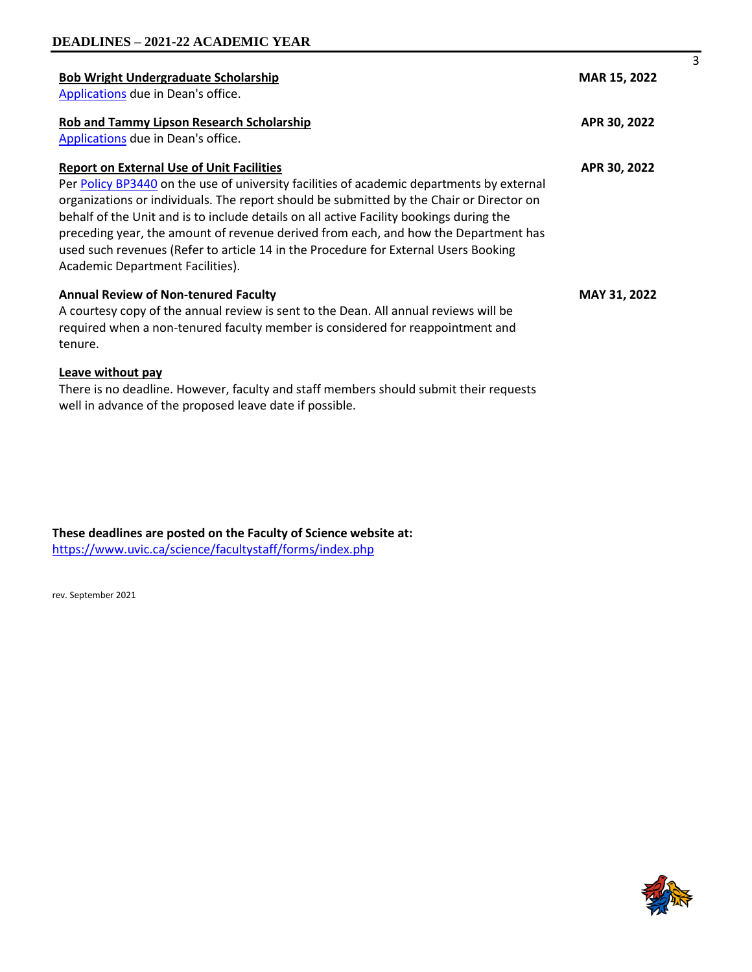| <b>Bob Wright Undergraduate Scholarship</b><br>Applications due in Dean's office.                                                                                                                                                                                                                                                                                                                                                                                                                                                                      | MAR 15, 2022 |
|--------------------------------------------------------------------------------------------------------------------------------------------------------------------------------------------------------------------------------------------------------------------------------------------------------------------------------------------------------------------------------------------------------------------------------------------------------------------------------------------------------------------------------------------------------|--------------|
| Rob and Tammy Lipson Research Scholarship<br>Applications due in Dean's office.                                                                                                                                                                                                                                                                                                                                                                                                                                                                        | APR 30, 2022 |
| <b>Report on External Use of Unit Facilities</b><br>Per Policy BP3440 on the use of university facilities of academic departments by external<br>organizations or individuals. The report should be submitted by the Chair or Director on<br>behalf of the Unit and is to include details on all active Facility bookings during the<br>preceding year, the amount of revenue derived from each, and how the Department has<br>used such revenues (Refer to article 14 in the Procedure for External Users Booking<br>Academic Department Facilities). | APR 30, 2022 |
| <b>Annual Review of Non-tenured Faculty</b><br>A courtesy copy of the annual review is sent to the Dean. All annual reviews will be<br>required when a non-tenured faculty member is considered for reappointment and<br>tenure.                                                                                                                                                                                                                                                                                                                       | MAY 31, 2022 |
| Leave without pay<br>There is no deadline. However, faculty and staff members should submit their requests                                                                                                                                                                                                                                                                                                                                                                                                                                             |              |

well in advance of the proposed leave date if possible.

**These deadlines are posted on the Faculty of Science website at:**  <https://www.uvic.ca/science/facultystaff/forms/index.php>

rev. September 2021



3